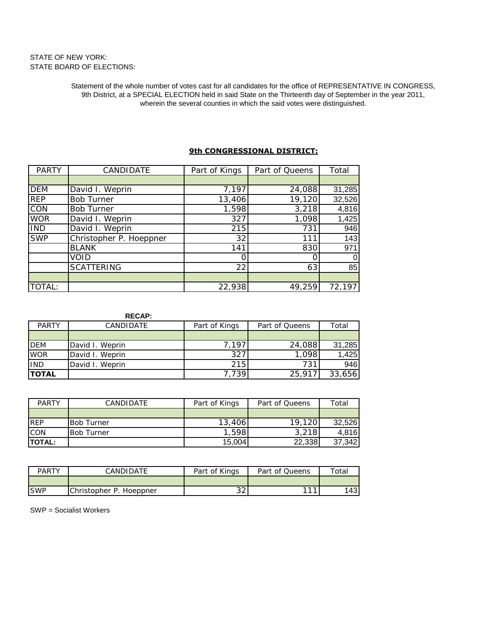# STATE OF NEW YORK: STATE BOARD OF ELECTIONS:

Statement of the whole number of votes cast for all candidates for the office of REPRESENTATIVE IN CONGRESS, 9th District, at a SPECIAL ELECTION held in said State on the Thirteenth day of September in the year 2011, wherein the several counties in which the said votes were distinguished.

| <b>PARTY</b> | CANDIDATE               | Part of Kings | Part of Queens | Total  |
|--------------|-------------------------|---------------|----------------|--------|
|              |                         |               |                |        |
| <b>DEM</b>   | David I. Weprin         | 7,197         | 24,088         | 31,285 |
| <b>REP</b>   | <b>Bob Turner</b>       | 13,406        | 19,120         | 32,526 |
| CON          | <b>Bob Turner</b>       | 1,598         | 3,218          | 4,816  |
| <b>WOR</b>   | David I. Weprin         | 327           | 1,098          | 1,425  |
| <b>IND</b>   | David I. Weprin         | 215           | 731            | 946    |
| <b>SWP</b>   | Christopher P. Hoeppner | 32            | 111            | 143    |
|              | <b>BLANK</b>            | 141           | 830            | 971    |
|              | void                    |               |                | 0      |
|              | <b>SCATTERING</b>       | 22            | 63             | 85     |
|              |                         |               |                |        |
| TOTAL:       |                         | 22,938        | 49,259         | 72,197 |

## **9th CONGRESSIONAL DISTRICT:**

|              | <b>RECAP:</b>   |               |                |        |
|--------------|-----------------|---------------|----------------|--------|
| <b>PARTY</b> | CANDIDATE       | Part of Kings | Part of Queens | Total  |
|              |                 |               |                |        |
| <b>DEM</b>   | David I. Weprin | .197          | 24,088         | 31,285 |
| <b>WOR</b>   | David I. Weprin | 327           | 1,098          | 1,425  |
| <b>IND</b>   | David I. Weprin | 215           | 731            | 946    |
| <b>TOTAL</b> |                 | 739           | 25,91.         | 33,656 |

| <b>PARTY</b>   | <b>CANDIDATE</b>  | Part of Kings | Part of Queens | Total  |
|----------------|-------------------|---------------|----------------|--------|
|                |                   |               |                |        |
| <b>REP</b>     | <b>Bob Turner</b> | 13,406        | 19,120         | 32,526 |
| <b>CON</b>     | <b>Bob Turner</b> | 598           | 3,218          | 4,816  |
| <b>ITOTAL:</b> |                   | 15,004        | 22,338         | 37,342 |

| <b>PARTY</b> | CANDIDATE               | Part of Kings | Part of Queens | Total |
|--------------|-------------------------|---------------|----------------|-------|
|              |                         |               |                |       |
| <b>ISWP</b>  | Christopher P. Hoeppner | $\cap$<br>ے ب | ---            | 1431  |

SWP = Socialist Workers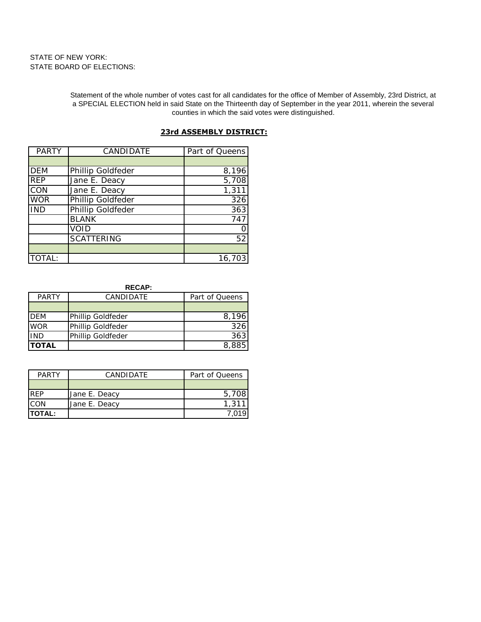# STATE OF NEW YORK: STATE BOARD OF ELECTIONS:

Statement of the whole number of votes cast for all candidates for the office of Member of Assembly, 23rd District, at a SPECIAL ELECTION held in said State on the Thirteenth day of September in the year 2011, wherein the several counties in which the said votes were distinguished.

| <b>PARTY</b> | CANDIDATE         | Part of Queens |
|--------------|-------------------|----------------|
|              |                   |                |
| <b>DEM</b>   | Phillip Goldfeder | 8,196          |
| <b>REP</b>   | Jane E. Deacy     | 5,708          |
| CON          | Jane E. Deacy     | 1,311          |
| <b>WOR</b>   | Phillip Goldfeder | 326            |
| <b>IND</b>   | Phillip Goldfeder | 363            |
|              | <b>BLANK</b>      | 747            |
|              | void              |                |
|              | <b>SCATTERING</b> | 52             |
|              |                   |                |
| TOTAL:       |                   | 16,703         |

### **23rd ASSEMBLY DISTRICT:**

### **RECAP:**

| <b>PARTY</b> | CANDIDATE         | Part of Queens |
|--------------|-------------------|----------------|
|              |                   |                |
| <b>DFM</b>   | Phillip Goldfeder |                |
| <b>WOR</b>   | Phillip Goldfeder |                |
| <b>IND</b>   | Phillip Goldfeder |                |
| <b>TOTAL</b> |                   |                |

| <b>PARTY</b>   | <b>CANDIDATE</b> | Part of Queens |
|----------------|------------------|----------------|
|                |                  |                |
| <b>RFP</b>     | Jane E. Deacy    | 5.70           |
| <b>CON</b>     | Jane E. Deacy    | 1.31           |
| <b>ITOTAL:</b> |                  |                |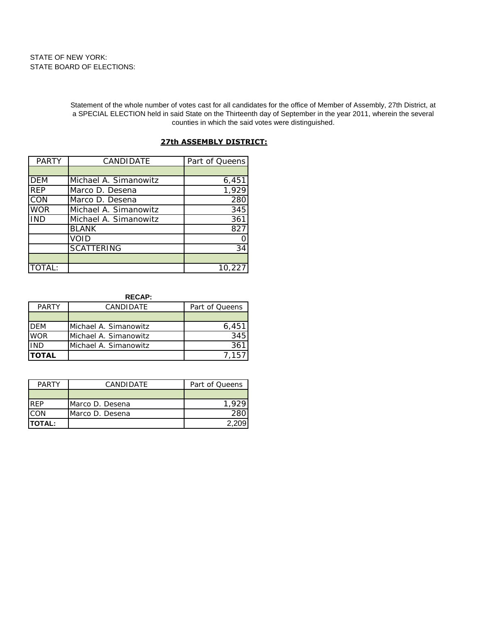Statement of the whole number of votes cast for all candidates for the office of Member of Assembly, 27th District, at a SPECIAL ELECTION held in said State on the Thirteenth day of September in the year 2011, wherein the several counties in which the said votes were distinguished.

| <b>PARTY</b> | CANDIDATE             | Part of Queens |
|--------------|-----------------------|----------------|
|              |                       |                |
| <b>DEM</b>   | Michael A. Simanowitz | 6,451          |
| <b>REP</b>   | Marco D. Desena       | 1,929          |
| CON          | Marco D. Desena       | 280            |
| WOR          | Michael A. Simanowitz | 345            |
| <b>IND</b>   | Michael A. Simanowitz | 361            |
|              | <b>BLANK</b>          | 827            |
|              | VOID                  |                |
|              | <b>SCATTERING</b>     | 34             |
|              |                       |                |
| TOTAL:       |                       | 10.227         |

### **27th ASSEMBLY DISTRICT:**

#### **RECAP:**

| <b>PARTY</b>  | <b>CANDIDATE</b>      | Part of Queens |
|---------------|-----------------------|----------------|
|               |                       |                |
| <b>IDEM</b>   | Michael A. Simanowitz | 6.45           |
| <b>WOR</b>    | Michael A. Simanowitz | 345            |
| <b>IND</b>    | Michael A. Simanowitz |                |
| <b>ITOTAL</b> |                       |                |

| <b>PARTY</b>   | <b>CANDIDATE</b> | Part of Queens |
|----------------|------------------|----------------|
|                |                  |                |
| <b>RFP</b>     | Marco D. Desena  |                |
| CON            | Marco D. Desena  |                |
| <b>ITOTAL:</b> |                  |                |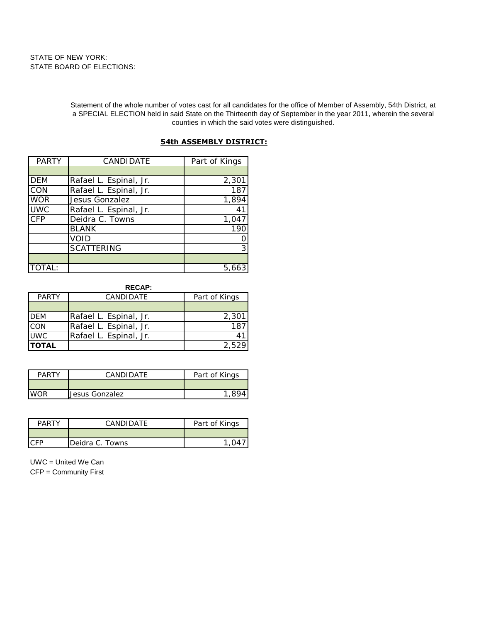Statement of the whole number of votes cast for all candidates for the office of Member of Assembly, 54th District, at a SPECIAL ELECTION held in said State on the Thirteenth day of September in the year 2011, wherein the several counties in which the said votes were distinguished.

| PARTY            | CANDIDATE              | Part of Kings |
|------------------|------------------------|---------------|
|                  |                        |               |
| <b>DEM</b>       | Rafael L. Espinal, Jr. | 2,301         |
| $\overline{CON}$ | Rafael L. Espinal, Jr. | 187           |
| <b>WOR</b>       | Jesus Gonzalez         | 1,894         |
| <b>UWC</b>       | Rafael L. Espinal, Jr. | 41            |
| <b>CFP</b>       | Deidra C. Towns        | 1,047         |
|                  | <b>BLANK</b>           | 190           |
|                  | void                   |               |
|                  | <b>SCATTERING</b>      | 3             |
|                  |                        |               |
| <b>TOTAL:</b>    |                        | 5,66          |

## **54th ASSEMBLY DISTRICT:**

**RECAP:**

| <b>PARTY</b> | CANDIDATE              | Part of Kings     |
|--------------|------------------------|-------------------|
|              |                        |                   |
| <b>DEM</b>   | Rafael L. Espinal, Jr. | 2.30 <sup>2</sup> |
| CON          | Rafael L. Espinal, Jr. |                   |
| <b>UWC</b>   | Rafael L. Espinal, Jr. |                   |
| <b>TOTAL</b> |                        |                   |

| レムト | CANDIDATE      | Part of Kings |
|-----|----------------|---------------|
|     |                |               |
|     | Jesus Gonzalez |               |

| PΔ | CANDIDATE       | Part of Kings |
|----|-----------------|---------------|
|    |                 |               |
|    | Deidra C. Towns |               |

UWC = United We Can CFP = Community First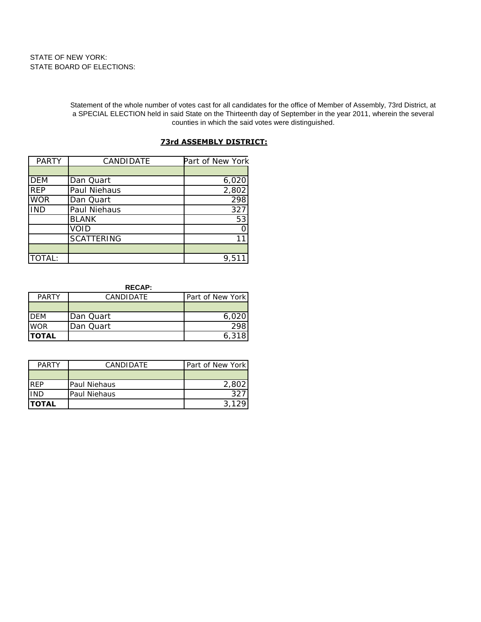Statement of the whole number of votes cast for all candidates for the office of Member of Assembly, 73rd District, at a SPECIAL ELECTION held in said State on the Thirteenth day of September in the year 2011, wherein the several counties in which the said votes were distinguished.

# **73rd ASSEMBLY DISTRICT:**

| <b>PARTY</b> | CANDIDATE         | Part of New York |
|--------------|-------------------|------------------|
|              |                   |                  |
| <b>DEM</b>   | Dan Quart         | 6,020            |
| <b>REP</b>   | Paul Niehaus      | 2,802            |
| <b>WOR</b>   | Dan Quart         | 298              |
| <b>IND</b>   | Paul Niehaus      | 327              |
|              | <b>BLANK</b>      | 53               |
|              | void              |                  |
|              | <b>SCATTERING</b> |                  |
|              |                   |                  |
| TOTAL:       |                   | 9.5              |

**RECAP:**

| PARTY         | <b>CANDIDATE</b> | Part of New York |
|---------------|------------------|------------------|
|               |                  |                  |
| <b>IDEM</b>   | Dan Quart        |                  |
| <b>WOR</b>    | Dan Quart        |                  |
| <b>ITOTAL</b> |                  | 6 31             |

| <b>PARTY</b>  | CANDIDATE    | Part of New York |
|---------------|--------------|------------------|
|               |              |                  |
| <b>RFP</b>    | Paul Niehaus |                  |
| IND           | Paul Niehaus |                  |
| <b>ITOTAL</b> |              |                  |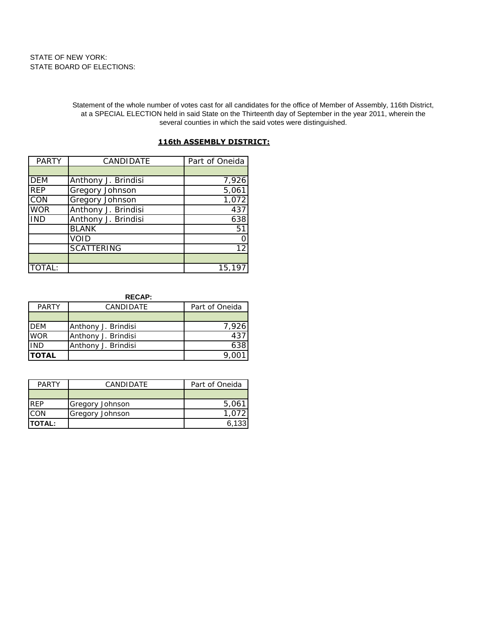Statement of the whole number of votes cast for all candidates for the office of Member of Assembly, 116th District, at a SPECIAL ELECTION held in said State on the Thirteenth day of September in the year 2011, wherein the several counties in which the said votes were distinguished.

# **116th ASSEMBLY DISTRICT:**

| <b>PARTY</b> | CANDIDATE           | Part of Oneida |
|--------------|---------------------|----------------|
|              |                     |                |
| <b>DEM</b>   | Anthony J. Brindisi | 7,926          |
| <b>REP</b>   | Gregory Johnson     | 5,061          |
| CON          | Gregory Johnson     | 1,072          |
| <b>WOR</b>   | Anthony J. Brindisi | 437            |
| <b>IND</b>   | Anthony J. Brindisi | 638            |
|              | <b>BLANK</b>        | 51             |
|              | VOID                |                |
|              | <b>SCATTERING</b>   | 12             |
|              |                     |                |
| TOTAL:       |                     | 15,197         |

**RECAP:**

| <b>WOR</b>                 | Anthony J. Brindisi<br>Anthony J. Brindisi |  |
|----------------------------|--------------------------------------------|--|
| <b>IND</b><br><b>TOTAL</b> | Anthony J. Brindisi                        |  |

| <b>PARTY</b> | CANDIDATE       | Part of Oneida |
|--------------|-----------------|----------------|
|              |                 |                |
| <b>RFP</b>   | Gregory Johnson | 5.06           |
| CON          | Gregory Johnson |                |
| ITOTAL:      |                 | 6.133          |